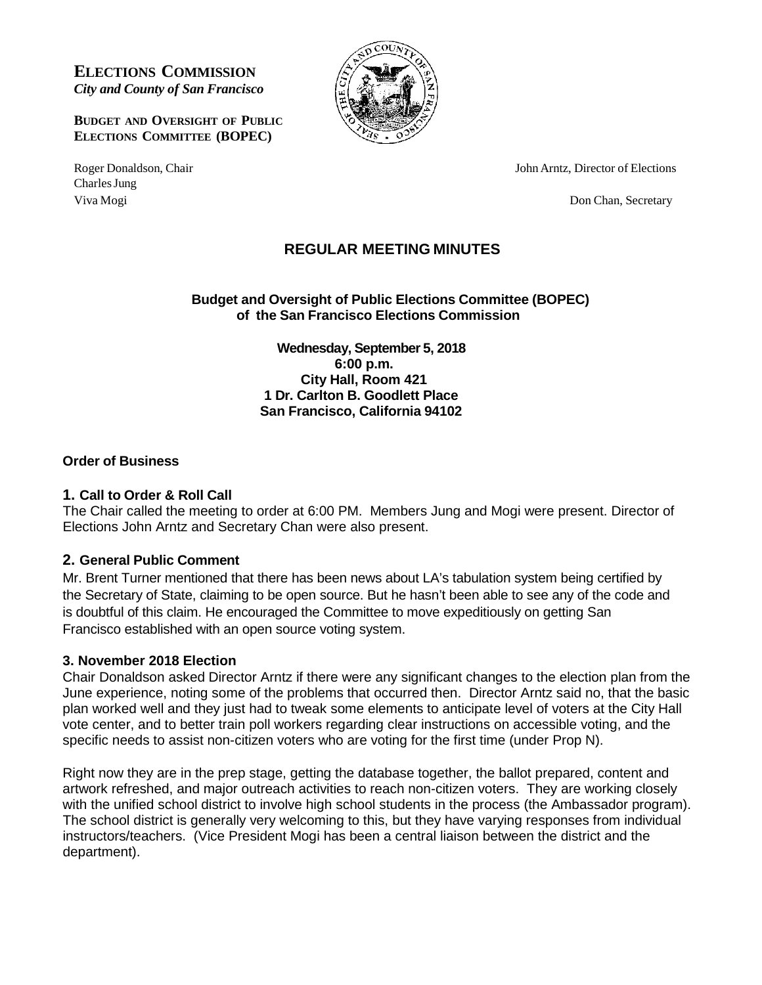**ELECTIONS COMMISSION** *City and County of San Francisco*

**BUDGET AND OVERSIGHT OF PUBLIC ELECTIONS COMMITTEE (BOPEC)**

Charles Jung Viva Mogi Don Chan, Secretary



Roger Donaldson, Chair **New York Construction** School and Top John Arntz, Director of Elections

# **REGULAR MEETING MINUTES**

**Budget and Oversight of Public Elections Committee (BOPEC) of the San Francisco Elections Commission**

> **Wednesday, September 5, 2018 6:00 p.m. City Hall, Room 421 1 Dr. Carlton B. Goodlett Place San Francisco, California 94102**

#### **Order of Business**

#### **1. Call to Order & Roll Call**

The Chair called the meeting to order at 6:00 PM. Members Jung and Mogi were present. Director of Elections John Arntz and Secretary Chan were also present.

### **2. General Public Comment**

Mr. Brent Turner mentioned that there has been news about LA's tabulation system being certified by the Secretary of State, claiming to be open source. But he hasn't been able to see any of the code and is doubtful of this claim. He encouraged the Committee to move expeditiously on getting San Francisco established with an open source voting system.

#### **3. November 2018 Election**

Chair Donaldson asked Director Arntz if there were any significant changes to the election plan from the June experience, noting some of the problems that occurred then. Director Arntz said no, that the basic plan worked well and they just had to tweak some elements to anticipate level of voters at the City Hall vote center, and to better train poll workers regarding clear instructions on accessible voting, and the specific needs to assist non-citizen voters who are voting for the first time (under Prop N).

Right now they are in the prep stage, getting the database together, the ballot prepared, content and artwork refreshed, and major outreach activities to reach non-citizen voters. They are working closely with the unified school district to involve high school students in the process (the Ambassador program). The school district is generally very welcoming to this, but they have varying responses from individual instructors/teachers. (Vice President Mogi has been a central liaison between the district and the department).